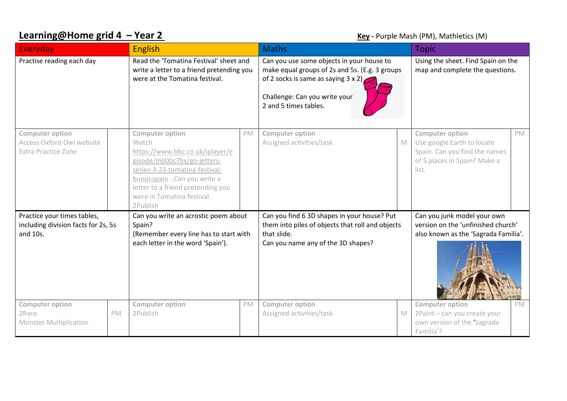## **Learning@Home grid 4 - Year 2 Compared Accord 2 Key - Purple Mash (PM), Mathletics (M)**

| Everyday                                                                          |    | <b>English</b>                                                                                                                                                                                                                                      |    | <b>Maths</b>                                                                                                                                                                                         |             | <b>Topic</b>                                                                                                                   |           |
|-----------------------------------------------------------------------------------|----|-----------------------------------------------------------------------------------------------------------------------------------------------------------------------------------------------------------------------------------------------------|----|------------------------------------------------------------------------------------------------------------------------------------------------------------------------------------------------------|-------------|--------------------------------------------------------------------------------------------------------------------------------|-----------|
| Practise reading each day                                                         |    | Read the 'Tomatina Festival' sheet and<br>write a letter to a friend pretending you<br>were at the Tomatina festival.                                                                                                                               |    | Can you use some objects in your house to<br>make equal groups of 2s and 5s. (E.g. 3 groups<br>of 2 socks is same as saying $3 \times 2$ )<br>Challenge: Can you write your<br>2 and 5 times tables. |             | Using the sheet. Find Spain on the<br>map and complete the questions.                                                          |           |
| <b>Computer option</b><br>Access Oxford Owl website<br><b>Extra Practice Zone</b> |    | <b>Computer option</b><br>Watch<br>https://www.bbc.co.uk/iplayer/e<br>pisode/m000c7bx/go-jetters-<br>series-3-23-tomatina-festival-<br>bunol-spain - Can you write a<br>letter to a friend pretending you<br>were in Tomatina festival.<br>2Publish | PM | <b>Computer option</b><br>Assigned activities/task                                                                                                                                                   | $\mathbb M$ | <b>Computer option</b><br>Use google Earth to locate<br>Spain. Can you find the names<br>of 5 places in Spain? Make a<br>list. | <b>PM</b> |
| Practice your times tables,<br>including division facts for 2s, 5s<br>and 10s.    |    | Can you write an acrostic poem about<br>Spain?<br>(Remember every line has to start with<br>each letter in the word 'Spain').                                                                                                                       |    | Can you find 6 3D shapes in your house? Put<br>them into piles of objects that roll and objects<br>that slide.<br>Can you name any of the 3D shapes?                                                 |             | Can you junk model your own<br>version on the 'unfinished church'<br>also known as the 'Sagrada Familia'.                      |           |
| <b>Computer option</b><br>2Race<br><b>Monster Multiplication</b>                  | PM | <b>Computer option</b><br>2Publish                                                                                                                                                                                                                  | PM | <b>Computer option</b><br>Assigned activities/task                                                                                                                                                   | M           | <b>Computer option</b><br>2Paint - can you create your<br>own version of the 'Sagrada<br>Familia'?                             | PM        |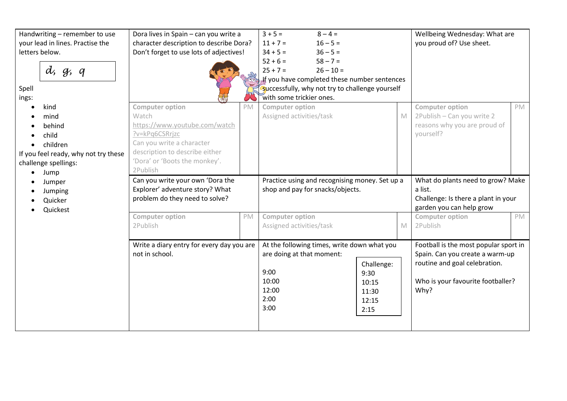| Handwriting - remember to use<br>your lead in lines. Practise the<br>letters below.<br>d, g, q<br>Spell<br>ings:    |  | Dora lives in Spain - can you write a<br>character description to describe Dora?<br>Don't forget to use lots of adjectives!                                                                    |    | $3 + 5 =$<br>$8 - 4 =$<br>$11 + 7 =$<br>$16 - 5 =$<br>$34 + 5 =$<br>$36 - 5 =$<br>$52 + 6 =$<br>$58 - 7 =$<br>$25 + 7 =$<br>$26 - 10 =$<br>If you have completed these number sentences<br>Successfully, why not try to challenge yourself<br>with some trickier ones. |                                                       |                                                                                                                 | Wellbeing Wednesday: What are<br>you proud of? Use sheet.                                                                                              |    |
|---------------------------------------------------------------------------------------------------------------------|--|------------------------------------------------------------------------------------------------------------------------------------------------------------------------------------------------|----|------------------------------------------------------------------------------------------------------------------------------------------------------------------------------------------------------------------------------------------------------------------------|-------------------------------------------------------|-----------------------------------------------------------------------------------------------------------------|--------------------------------------------------------------------------------------------------------------------------------------------------------|----|
| kind<br>mind<br>behind<br>child<br>children<br>If you feel ready, why not try these<br>challenge spellings:<br>Jump |  | <b>Computer option</b><br>Watch<br>https://www.youtube.com/watch<br>?v=kPq6CSRrjzc<br>Can you write a character<br>description to describe either<br>'Dora' or 'Boots the monkey'.<br>2Publish | PM | <b>Computer option</b><br>Assigned activities/task                                                                                                                                                                                                                     |                                                       | $\mathbb{M}$                                                                                                    | <b>Computer option</b><br>2Publish - Can you write 2<br>reasons why you are proud of<br>yourself?                                                      | PM |
| Jumper<br>Jumping<br>Quicker<br>Quickest                                                                            |  | Can you write your own 'Dora the<br>Explorer' adventure story? What<br>problem do they need to solve?                                                                                          |    | Practice using and recognising money. Set up a<br>shop and pay for snacks/objects.                                                                                                                                                                                     |                                                       | What do plants need to grow? Make<br>a list.<br>Challenge: Is there a plant in your<br>garden you can help grow |                                                                                                                                                        |    |
|                                                                                                                     |  | <b>Computer option</b><br>2Publish                                                                                                                                                             | PM | Computer option<br>Assigned activities/task                                                                                                                                                                                                                            |                                                       | M                                                                                                               | <b>Computer option</b><br>2Publish                                                                                                                     | PM |
|                                                                                                                     |  | Write a diary entry for every day you are<br>not in school.                                                                                                                                    |    | At the following times, write down what you<br>are doing at that moment:<br>9:00<br>10:00<br>12:00<br>2:00<br>3:00                                                                                                                                                     | Challenge:<br>9:30<br>10:15<br>11:30<br>12:15<br>2:15 |                                                                                                                 | Football is the most popular sport in<br>Spain. Can you create a warm-up<br>routine and goal celebration.<br>Who is your favourite footballer?<br>Why? |    |